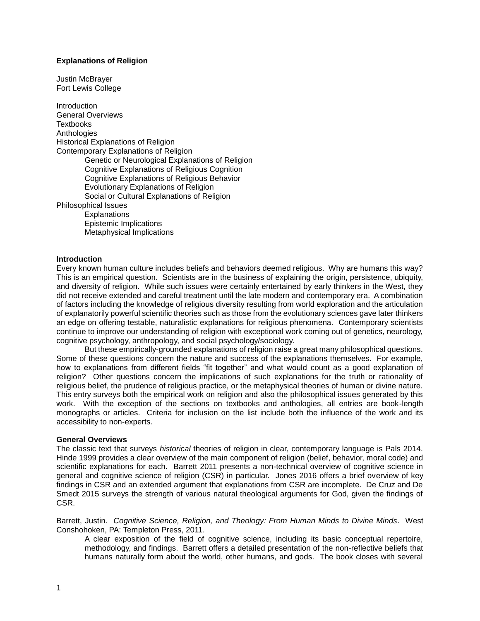# **Explanations of Religion**

Justin McBrayer Fort Lewis College

**Introduction** General Overviews **Textbooks Anthologies** Historical Explanations of Religion Contemporary Explanations of Religion Genetic or Neurological Explanations of Religion Cognitive Explanations of Religious Cognition Cognitive Explanations of Religious Behavior Evolutionary Explanations of Religion Social or Cultural Explanations of Religion Philosophical Issues **Explanations** Epistemic Implications Metaphysical Implications

# **Introduction**

Every known human culture includes beliefs and behaviors deemed religious. Why are humans this way? This is an empirical question. Scientists are in the business of explaining the origin, persistence, ubiquity, and diversity of religion. While such issues were certainly entertained by early thinkers in the West, they did not receive extended and careful treatment until the late modern and contemporary era. A combination of factors including the knowledge of religious diversity resulting from world exploration and the articulation of explanatorily powerful scientific theories such as those from the evolutionary sciences gave later thinkers an edge on offering testable, naturalistic explanations for religious phenomena. Contemporary scientists continue to improve our understanding of religion with exceptional work coming out of genetics, neurology, cognitive psychology, anthropology, and social psychology/sociology.

But these empirically-grounded explanations of religion raise a great many philosophical questions. Some of these questions concern the nature and success of the explanations themselves. For example, how to explanations from different fields "fit together" and what would count as a good explanation of religion? Other questions concern the implications of such explanations for the truth or rationality of religious belief, the prudence of religious practice, or the metaphysical theories of human or divine nature. This entry surveys both the empirical work on religion and also the philosophical issues generated by this work. With the exception of the sections on textbooks and anthologies, all entries are book-length monographs or articles. Criteria for inclusion on the list include both the influence of the work and its accessibility to non-experts.

#### **General Overviews**

The classic text that surveys *historical* theories of religion in clear, contemporary language is Pals 2014. Hinde 1999 provides a clear overview of the main component of religion (belief, behavior, moral code) and scientific explanations for each. Barrett 2011 presents a non-technical overview of cognitive science in general and cognitive science of religion (CSR) in particular. Jones 2016 offers a brief overview of key findings in CSR and an extended argument that explanations from CSR are incomplete. De Cruz and De Smedt 2015 surveys the strength of various natural theological arguments for God, given the findings of CSR.

Barrett, Justin. *Cognitive Science, Religion, and Theology: From Human Minds to Divine Minds*. West Conshohoken, PA: Templeton Press, 2011.

A clear exposition of the field of cognitive science, including its basic conceptual repertoire, methodology, and findings. Barrett offers a detailed presentation of the non-reflective beliefs that humans naturally form about the world, other humans, and gods. The book closes with several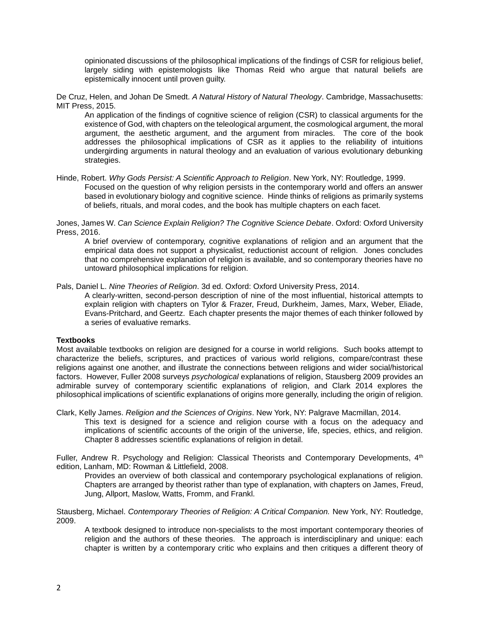opinionated discussions of the philosophical implications of the findings of CSR for religious belief, largely siding with epistemologists like Thomas Reid who argue that natural beliefs are epistemically innocent until proven guilty.

De Cruz, Helen, and Johan De Smedt. *A Natural History of Natural Theology*. Cambridge, Massachusetts: MIT Press, 2015.

An application of the findings of cognitive science of religion (CSR) to classical arguments for the existence of God, with chapters on the teleological argument, the cosmological argument, the moral argument, the aesthetic argument, and the argument from miracles. The core of the book addresses the philosophical implications of CSR as it applies to the reliability of intuitions undergirding arguments in natural theology and an evaluation of various evolutionary debunking strategies.

Hinde, Robert. *Why Gods Persist: A Scientific Approach to Religion*. New York, NY: Routledge, 1999. Focused on the question of why religion persists in the contemporary world and offers an answer based in evolutionary biology and cognitive science. Hinde thinks of religions as primarily systems of beliefs, rituals, and moral codes, and the book has multiple chapters on each facet.

Jones, James W. *Can Science Explain Religion? The Cognitive Science Debate*. Oxford: Oxford University Press, 2016.

A brief overview of contemporary, cognitive explanations of religion and an argument that the empirical data does not support a physicalist, reductionist account of religion. Jones concludes that no comprehensive explanation of religion is available, and so contemporary theories have no untoward philosophical implications for religion.

Pals, Daniel L. *Nine Theories of Religion*. 3d ed. Oxford: Oxford University Press, 2014.

A clearly-written, second-person description of nine of the most influential, historical attempts to explain religion with chapters on Tylor & Frazer, Freud, Durkheim, James, Marx, Weber, Eliade, Evans-Pritchard, and Geertz. Each chapter presents the major themes of each thinker followed by a series of evaluative remarks.

# **Textbooks**

Most available textbooks on religion are designed for a course in world religions. Such books attempt to characterize the beliefs, scriptures, and practices of various world religions, compare/contrast these religions against one another, and illustrate the connections between religions and wider social/historical factors. However, Fuller 2008 surveys *psychological* explanations of religion, Stausberg 2009 provides an admirable survey of contemporary scientific explanations of religion, and Clark 2014 explores the philosophical implications of scientific explanations of origins more generally, including the origin of religion.

Clark, Kelly James. *Religion and the Sciences of Origins*. New York, NY: Palgrave Macmillan, 2014.

This text is designed for a science and religion course with a focus on the adequacy and implications of scientific accounts of the origin of the universe, life, species, ethics, and religion. Chapter 8 addresses scientific explanations of religion in detail.

Fuller, Andrew R. Psychology and Religion: Classical Theorists and Contemporary Developments, 4<sup>th</sup> edition, Lanham, MD: Rowman & Littlefield, 2008.

Provides an overview of both classical and contemporary psychological explanations of religion. Chapters are arranged by theorist rather than type of explanation, with chapters on James, Freud, Jung, Allport, Maslow, Watts, Fromm, and Frankl.

Stausberg, Michael. *Contemporary Theories of Religion: A Critical Companion.* New York, NY: Routledge, 2009.

A textbook designed to introduce non-specialists to the most important contemporary theories of religion and the authors of these theories. The approach is interdisciplinary and unique: each chapter is written by a contemporary critic who explains and then critiques a different theory of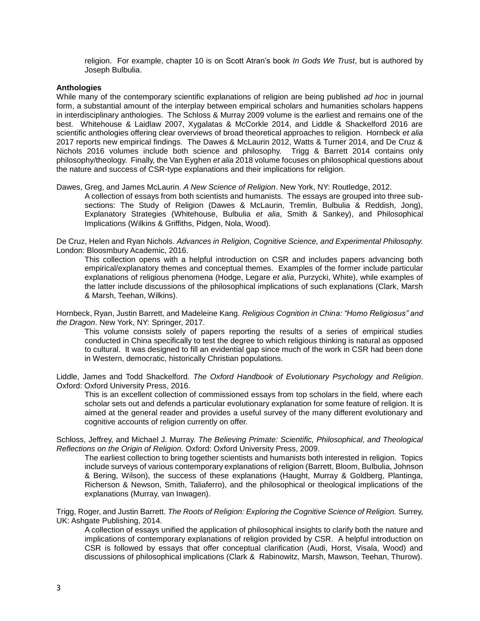religion. For example, chapter 10 is on Scott Atran's book *In Gods We Trust*, but is authored by Joseph Bulbulia.

#### **Anthologies**

While many of the contemporary scientific explanations of religion are being published *ad hoc* in journal form, a substantial amount of the interplay between empirical scholars and humanities scholars happens in interdisciplinary anthologies. The Schloss & Murray 2009 volume is the earliest and remains one of the best. Whitehouse & Laidlaw 2007, Xygalatas & McCorkle 2014, and Liddle & Shackelford 2016 are scientific anthologies offering clear overviews of broad theoretical approaches to religion. Hornbeck *et alia* 2017 reports new empirical findings. The Dawes & McLaurin 2012, Watts & Turner 2014, and De Cruz & Nichols 2016 volumes include both science and philosophy. Trigg & Barrett 2014 contains only philosophy/theology. Finally, the Van Eyghen *et alia* 2018 volume focuses on philosophical questions about the nature and success of CSR-type explanations and their implications for religion.

Dawes, Greg, and James McLaurin. *A New Science of Religion*. New York, NY: Routledge, 2012.

A collection of essays from both scientists and humanists. The essays are grouped into three subsections: The Study of Religion (Dawes & McLaurin, Tremlin, Bulbulia & Reddish, Jong), Explanatory Strategies (Whitehouse, Bulbulia *et alia*, Smith & Sankey), and Philosophical Implications (Wilkins & Griffiths, Pidgen, Nola, Wood).

De Cruz, Helen and Ryan Nichols. *Advances in Religion, Cognitive Science, and Experimental Philosophy.*  London: Bloosmbury Academic, 2016.

This collection opens with a helpful introduction on CSR and includes papers advancing both empirical/explanatory themes and conceptual themes. Examples of the former include particular explanations of religious phenomena (Hodge, Legare *et alia*, Purzycki, White), while examples of the latter include discussions of the philosophical implications of such explanations (Clark, Marsh & Marsh, Teehan, Wilkins).

Hornbeck, Ryan, Justin Barrett, and Madeleine Kang. *Religious Cognition in China: "Homo Religiosus" and the Dragon*. New York, NY: Springer, 2017.

This volume consists solely of papers reporting the results of a series of empirical studies conducted in China specifically to test the degree to which religious thinking is natural as opposed to cultural. It was designed to fill an evidential gap since much of the work in CSR had been done in Western, democratic, historically Christian populations.

Liddle, James and Todd Shackelford. *The Oxford Handbook of Evolutionary Psychology and Religion*. Oxford: Oxford University Press, 2016.

This is an excellent collection of commissioned essays from top scholars in the field, where each scholar sets out and defends a particular evolutionary explanation for some feature of religion. It is aimed at the general reader and provides a useful survey of the many different evolutionary and cognitive accounts of religion currently on offer.

Schloss, Jeffrey, and Michael J. Murray. *The Believing Primate: Scientific, Philosophical, and Theological Reflections on the Origin of Religion.* Oxford: Oxford University Press, 2009.

The earliest collection to bring together scientists and humanists both interested in religion. Topics include surveys of various contemporary explanations of religion (Barrett, Bloom, Bulbulia, Johnson & Bering, Wilson), the success of these explanations (Haught, Murray & Goldberg, Plantinga, Richerson & Newson, Smith, Taliaferro), and the philosophical or theological implications of the explanations (Murray, van Inwagen).

Trigg, Roger, and Justin Barrett. *The Roots of Religion: Exploring the Cognitive Science of Religion.* Surrey, UK: Ashgate Publishing, 2014.

A collection of essays unified the application of philosophical insights to clarify both the nature and implications of contemporary explanations of religion provided by CSR. A helpful introduction on CSR is followed by essays that offer conceptual clarification (Audi, Horst, Visala, Wood) and discussions of philosophical implications (Clark & Rabinowitz, Marsh, Mawson, Teehan, Thurow).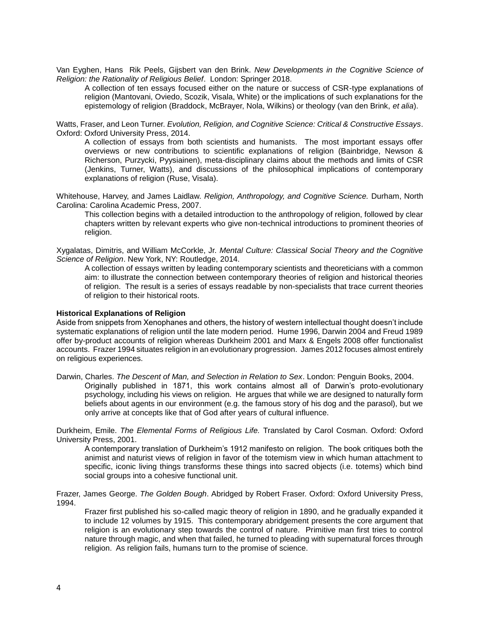Van Eyghen, Hans Rik Peels, Gijsbert van den Brink. *New Developments in the Cognitive Science of Religion: the Rationality of Religious Belief*. London: Springer 2018.

A collection of ten essays focused either on the nature or success of CSR-type explanations of religion (Mantovani, Oviedo, Scozik, Visala, White) or the implications of such explanations for the epistemology of religion (Braddock, McBrayer, Nola, Wilkins) or theology (van den Brink, *et alia*).

Watts, Fraser, and Leon Turner. *Evolution, Religion, and Cognitive Science: Critical & Constructive Essays*. Oxford: Oxford University Press, 2014.

A collection of essays from both scientists and humanists. The most important essays offer overviews or new contributions to scientific explanations of religion (Bainbridge, Newson & Richerson, Purzycki, Pyysiainen), meta-disciplinary claims about the methods and limits of CSR (Jenkins, Turner, Watts), and discussions of the philosophical implications of contemporary explanations of religion (Ruse, Visala).

Whitehouse, Harvey, and James Laidlaw. *Religion, Anthropology, and Cognitive Science.* Durham, North Carolina: Carolina Academic Press, 2007.

This collection begins with a detailed introduction to the anthropology of religion, followed by clear chapters written by relevant experts who give non-technical introductions to prominent theories of religion.

Xygalatas, Dimitris, and William McCorkle, Jr. *Mental Culture: Classical Social Theory and the Cognitive Science of Religion*. New York, NY: Routledge, 2014.

A collection of essays written by leading contemporary scientists and theoreticians with a common aim: to illustrate the connection between contemporary theories of religion and historical theories of religion. The result is a series of essays readable by non-specialists that trace current theories of religion to their historical roots.

#### **Historical Explanations of Religion**

Aside from snippets from Xenophanes and others, the history of western intellectual thought doesn't include systematic explanations of religion until the late modern period. Hume 1996, Darwin 2004 and Freud 1989 offer by-product accounts of religion whereas Durkheim 2001 and Marx & Engels 2008 offer functionalist accounts. Frazer 1994 situates religion in an evolutionary progression. James 2012 focuses almost entirely on religious experiences.

Darwin, Charles. *The Descent of Man, and Selection in Relation to Sex*. London: Penguin Books, 2004. Originally published in 1871, this work contains almost all of Darwin's proto-evolutionary psychology, including his views on religion. He argues that while we are designed to naturally form beliefs about agents in our environment (e.g. the famous story of his dog and the parasol), but we only arrive at concepts like that of God after years of cultural influence.

Durkheim, Emile. *The Elemental Forms of Religious Life.* Translated by Carol Cosman. Oxford: Oxford University Press, 2001.

A contemporary translation of Durkheim's 1912 manifesto on religion. The book critiques both the animist and naturist views of religion in favor of the totemism view in which human attachment to specific, iconic living things transforms these things into sacred objects (i.e. totems) which bind social groups into a cohesive functional unit.

Frazer, James George. *The Golden Bough*. Abridged by Robert Fraser. Oxford: Oxford University Press, 1994.

Frazer first published his so-called magic theory of religion in 1890, and he gradually expanded it to include 12 volumes by 1915. This contemporary abridgement presents the core argument that religion is an evolutionary step towards the control of nature. Primitive man first tries to control nature through magic, and when that failed, he turned to pleading with supernatural forces through religion. As religion fails, humans turn to the promise of science.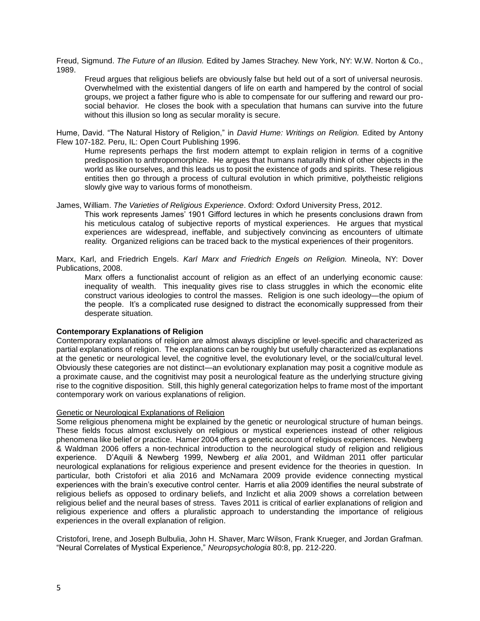Freud, Sigmund. *The Future of an Illusion.* Edited by James Strachey. New York, NY: W.W. Norton & Co., 1989.

Freud argues that religious beliefs are obviously false but held out of a sort of universal neurosis. Overwhelmed with the existential dangers of life on earth and hampered by the control of social groups, we project a father figure who is able to compensate for our suffering and reward our prosocial behavior. He closes the book with a speculation that humans can survive into the future without this illusion so long as secular morality is secure.

Hume, David. "The Natural History of Religion," in *David Hume: Writings on Religion.* Edited by Antony Flew 107-182. Peru, IL: Open Court Publishing 1996.

Hume represents perhaps the first modern attempt to explain religion in terms of a cognitive predisposition to anthropomorphize. He argues that humans naturally think of other objects in the world as like ourselves, and this leads us to posit the existence of gods and spirits. These religious entities then go through a process of cultural evolution in which primitive, polytheistic religions slowly give way to various forms of monotheism.

James, William. *The Varieties of Religious Experience*. Oxford: Oxford University Press, 2012.

This work represents James' 1901 Gifford lectures in which he presents conclusions drawn from his meticulous catalog of subjective reports of mystical experiences. He argues that mystical experiences are widespread, ineffable, and subjectively convincing as encounters of ultimate reality. Organized religions can be traced back to the mystical experiences of their progenitors.

Marx, Karl, and Friedrich Engels. *Karl Marx and Friedrich Engels on Religion.* Mineola, NY: Dover Publications, 2008.

Marx offers a functionalist account of religion as an effect of an underlying economic cause: inequality of wealth. This inequality gives rise to class struggles in which the economic elite construct various ideologies to control the masses. Religion is one such ideology—the opium of the people. It's a complicated ruse designed to distract the economically suppressed from their desperate situation.

# **Contemporary Explanations of Religion**

Contemporary explanations of religion are almost always discipline or level-specific and characterized as partial explanations of religion. The explanations can be roughly but usefully characterized as explanations at the genetic or neurological level, the cognitive level, the evolutionary level, or the social/cultural level. Obviously these categories are not distinct—an evolutionary explanation may posit a cognitive module as a proximate cause, and the cognitivist may posit a neurological feature as the underlying structure giving rise to the cognitive disposition. Still, this highly general categorization helps to frame most of the important contemporary work on various explanations of religion.

# Genetic or Neurological Explanations of Religion

Some religious phenomena might be explained by the genetic or neurological structure of human beings. These fields focus almost exclusively on religious or mystical experiences instead of other religious phenomena like belief or practice. Hamer 2004 offers a genetic account of religious experiences. Newberg & Waldman 2006 offers a non-technical introduction to the neurological study of religion and religious experience. D'Aquili & Newberg 1999, Newberg *et alia* 2001, and Wildman 2011 offer particular neurological explanations for religious experience and present evidence for the theories in question. In particular, both Cristofori et alia 2016 and McNamara 2009 provide evidence connecting mystical experiences with the brain's executive control center. Harris et alia 2009 identifies the neural substrate of religious beliefs as opposed to ordinary beliefs, and Inzlicht et alia 2009 shows a correlation between religious belief and the neural bases of stress. Taves 2011 is critical of earlier explanations of religion and religious experience and offers a pluralistic approach to understanding the importance of religious experiences in the overall explanation of religion.

Cristofori, Irene, and Joseph Bulbulia, John H. Shaver, Marc Wilson, Frank Krueger, and Jordan Grafman. "Neural Correlates of Mystical Experience," *Neuropsychologia* 80:8, pp. 212-220.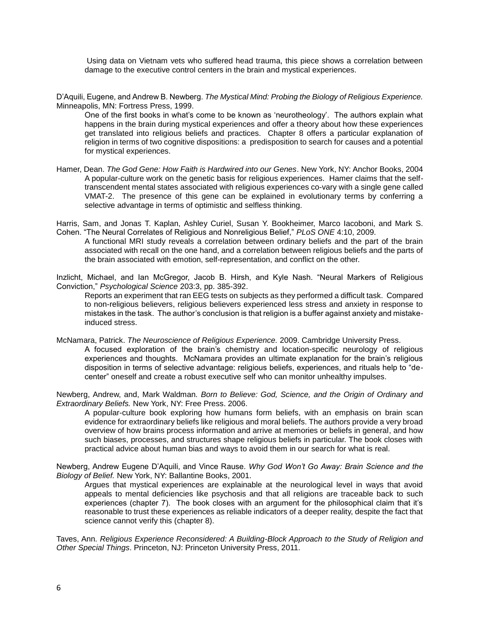Using data on Vietnam vets who suffered head trauma, this piece shows a correlation between damage to the executive control centers in the brain and mystical experiences.

D'Aquili, Eugene, and Andrew B. Newberg. *The Mystical Mind: Probing the Biology of Religious Experience.* Minneapolis, MN: Fortress Press, 1999.

One of the first books in what's come to be known as 'neurotheology'. The authors explain what happens in the brain during mystical experiences and offer a theory about how these experiences get translated into religious beliefs and practices. Chapter 8 offers a particular explanation of religion in terms of two cognitive dispositions: a predisposition to search for causes and a potential for mystical experiences.

Hamer, Dean. *The God Gene: How Faith is Hardwired into our Genes*. New York, NY: Anchor Books, 2004 A popular-culture work on the genetic basis for religious experiences. Hamer claims that the selftranscendent mental states associated with religious experiences co-vary with a single gene called VMAT-2. The presence of this gene can be explained in evolutionary terms by conferring a selective advantage in terms of optimistic and selfless thinking.

Harris, Sam, and Jonas T. Kaplan, Ashley Curiel, Susan Y. Bookheimer, Marco Iacoboni, and Mark S. Cohen. "The Neural Correlates of Religious and Nonreligious Belief," *PLoS ONE* 4:10, 2009.

A functional MRI study reveals a correlation between ordinary beliefs and the part of the brain associated with recall on the one hand, and a correlation between religious beliefs and the parts of the brain associated with emotion, self-representation, and conflict on the other.

Inzlicht, Michael, and Ian McGregor, Jacob B. Hirsh, and Kyle Nash. "Neural Markers of Religious Conviction," *Psychological Science* 203:3, pp. 385-392.

Reports an experiment that ran EEG tests on subjects as they performed a difficult task. Compared to non-religious believers, religious believers experienced less stress and anxiety in response to mistakes in the task. The author's conclusion is that religion is a buffer against anxiety and mistakeinduced stress.

McNamara, Patrick. *The Neuroscience of Religious Experience.* 2009. Cambridge University Press. A focused exploration of the brain's chemistry and location-specific neurology of religious experiences and thoughts. McNamara provides an ultimate explanation for the brain's religious disposition in terms of selective advantage: religious beliefs, experiences, and rituals help to "decenter" oneself and create a robust executive self who can monitor unhealthy impulses.

Newberg, Andrew, and, Mark Waldman. *Born to Believe: God, Science, and the Origin of Ordinary and Extraordinary Beliefs.* New York, NY: Free Press. 2006.

A popular-culture book exploring how humans form beliefs, with an emphasis on brain scan evidence for extraordinary beliefs like religious and moral beliefs. The authors provide a very broad overview of how brains process information and arrive at memories or beliefs in general, and how such biases, processes, and structures shape religious beliefs in particular. The book closes with practical advice about human bias and ways to avoid them in our search for what is real.

Newberg, Andrew Eugene D'Aquili, and Vince Rause. *Why God Won't Go Away: Brain Science and the Biology of Belief.* New York, NY: Ballantine Books, 2001.

Argues that mystical experiences are explainable at the neurological level in ways that avoid appeals to mental deficiencies like psychosis and that all religions are traceable back to such experiences (chapter 7). The book closes with an argument for the philosophical claim that it's reasonable to trust these experiences as reliable indicators of a deeper reality, despite the fact that science cannot verify this (chapter 8).

Taves, Ann. *Religious Experience Reconsidered: A Building-Block Approach to the Study of Religion and Other Special Things*. Princeton, NJ: Princeton University Press, 2011.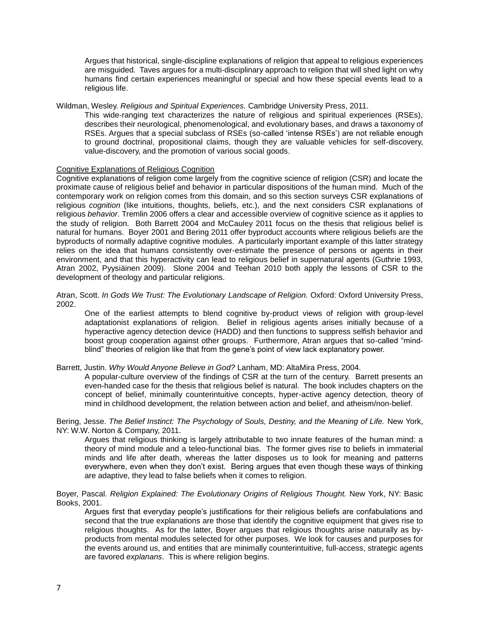Argues that historical, single-discipline explanations of religion that appeal to religious experiences are misguided. Taves argues for a multi-disciplinary approach to religion that will shed light on why humans find certain experiences meaningful or special and how these special events lead to a religious life.

#### Wildman, Wesley. *Religious and Spiritual Experiences.* Cambridge University Press, 2011.

This wide-ranging text characterizes the nature of religious and spiritual experiences (RSEs), describes their neurological, phenomenological, and evolutionary bases, and draws a taxonomy of RSEs. Argues that a special subclass of RSEs (so-called 'intense RSEs') are not reliable enough to ground doctrinal, propositional claims, though they are valuable vehicles for self-discovery, value-discovery, and the promotion of various social goods.

# Cognitive Explanations of Religious Cognition

Cognitive explanations of religion come largely from the cognitive science of religion (CSR) and locate the proximate cause of religious belief and behavior in particular dispositions of the human mind. Much of the contemporary work on religion comes from this domain, and so this section surveys CSR explanations of religious *cognition* (like intuitions, thoughts, beliefs, etc.), and the next considers CSR explanations of religious *behavior*. Tremlin 2006 offers a clear and accessible overview of cognitive science as it applies to the study of religion. Both Barrett 2004 and McCauley 2011 focus on the thesis that religious belief is natural for humans. Boyer 2001 and Bering 2011 offer byproduct accounts where religious beliefs are the byproducts of normally adaptive cognitive modules. A particularly important example of this latter strategy relies on the idea that humans consistently over-estimate the presence of persons or agents in their environment, and that this hyperactivity can lead to religious belief in supernatural agents (Guthrie 1993, Atran 2002, Pyysiäinen 2009). Slone 2004 and Teehan 2010 both apply the lessons of CSR to the development of theology and particular religions.

Atran, Scott. *In Gods We Trust: The Evolutionary Landscape of Religion.* Oxford: Oxford University Press, 2002.

One of the earliest attempts to blend cognitive by-product views of religion with group-level adaptationist explanations of religion. Belief in religious agents arises initially because of a hyperactive agency detection device (HADD) and then functions to suppress selfish behavior and boost group cooperation against other groups. Furthermore, Atran argues that so-called "mindblind" theories of religion like that from the gene's point of view lack explanatory power.

Barrett, Justin. *Why Would Anyone Believe in God?* Lanham, MD: AltaMira Press, 2004.

A popular-culture overview of the findings of CSR at the turn of the century. Barrett presents an even-handed case for the thesis that religious belief is natural. The book includes chapters on the concept of belief, minimally counterintuitive concepts, hyper-active agency detection, theory of mind in childhood development, the relation between action and belief, and atheism/non-belief.

Bering, Jesse. *The Belief Instinct: The Psychology of Souls, Destiny, and the Meaning of Life.* New York, NY: W.W. Norton & Company, 2011.

Argues that religious thinking is largely attributable to two innate features of the human mind: a theory of mind module and a teleo-functional bias. The former gives rise to beliefs in immaterial minds and life after death, whereas the latter disposes us to look for meaning and patterns everywhere, even when they don't exist. Bering argues that even though these ways of thinking are adaptive, they lead to false beliefs when it comes to religion.

Boyer, Pascal. *Religion Explained: The Evolutionary Origins of Religious Thought.* New York, NY: Basic Books, 2001.

Argues first that everyday people's justifications for their religious beliefs are confabulations and second that the true explanations are those that identify the cognitive equipment that gives rise to religious thoughts. As for the latter, Boyer argues that religious thoughts arise naturally as byproducts from mental modules selected for other purposes. We look for causes and purposes for the events around us, and entities that are minimally counterintuitive, full-access, strategic agents are favored *explanans*. This is where religion begins.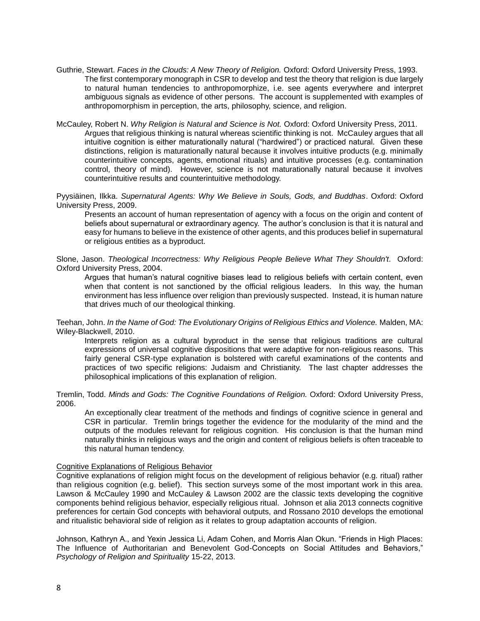- Guthrie, Stewart. *Faces in the Clouds: A New Theory of Religion.* Oxford: Oxford University Press, 1993. The first contemporary monograph in CSR to develop and test the theory that religion is due largely to natural human tendencies to anthropomorphize, i.e. see agents everywhere and interpret ambiguous signals as evidence of other persons. The account is supplemented with examples of anthropomorphism in perception, the arts, philosophy, science, and religion.
- McCauley, Robert N. *Why Religion is Natural and Science is Not.* Oxford: Oxford University Press, 2011. Argues that religious thinking is natural whereas scientific thinking is not. McCauley argues that all intuitive cognition is either maturationally natural ("hardwired") or practiced natural. Given these distinctions, religion is maturationally natural because it involves intuitive products (e.g. minimally counterintuitive concepts, agents, emotional rituals) and intuitive processes (e.g. contamination control, theory of mind). However, science is not maturationally natural because it involves counterintuitive results and counterintuitive methodology.

Pyysiäinen, Ilkka. *Supernatural Agents: Why We Believe in Souls, Gods, and Buddhas*. Oxford: Oxford University Press, 2009.

Presents an account of human representation of agency with a focus on the origin and content of beliefs about supernatural or extraordinary agency. The author's conclusion is that it is natural and easy for humans to believe in the existence of other agents, and this produces belief in supernatural or religious entities as a byproduct.

Slone, Jason. *Theological Incorrectness: Why Religious People Believe What They Shouldn't*. Oxford: Oxford University Press, 2004.

Argues that human's natural cognitive biases lead to religious beliefs with certain content, even when that content is not sanctioned by the official religious leaders. In this way, the human environment has less influence over religion than previously suspected. Instead, it is human nature that drives much of our theological thinking.

Teehan, John. *In the Name of God: The Evolutionary Origins of Religious Ethics and Violence.* Malden, MA: Wiley-Blackwell, 2010.

Interprets religion as a cultural byproduct in the sense that religious traditions are cultural expressions of universal cognitive dispositions that were adaptive for non-religious reasons. This fairly general CSR-type explanation is bolstered with careful examinations of the contents and practices of two specific religions: Judaism and Christianity. The last chapter addresses the philosophical implications of this explanation of religion.

Tremlin, Todd. *Minds and Gods: The Cognitive Foundations of Religion.* Oxford: Oxford University Press, 2006.

An exceptionally clear treatment of the methods and findings of cognitive science in general and CSR in particular. Tremlin brings together the evidence for the modularity of the mind and the outputs of the modules relevant for religious cognition. His conclusion is that the human mind naturally thinks in religious ways and the origin and content of religious beliefs is often traceable to this natural human tendency.

# Cognitive Explanations of Religious Behavior

Cognitive explanations of religion might focus on the development of religious behavior (e.g. ritual) rather than religious cognition (e.g. belief). This section surveys some of the most important work in this area. Lawson & McCauley 1990 and McCauley & Lawson 2002 are the classic texts developing the cognitive components behind religious behavior, especially religious ritual. Johnson et alia 2013 connects cognitive preferences for certain God concepts with behavioral outputs, and Rossano 2010 develops the emotional and ritualistic behavioral side of religion as it relates to group adaptation accounts of religion.

Johnson, Kathryn A., and Yexin Jessica Li, Adam Cohen, and Morris Alan Okun. "Friends in High Places: The Influence of Authoritarian and Benevolent God-Concepts on Social Attitudes and Behaviors," *Psychology of Religion and Spirituality* 15-22, 2013.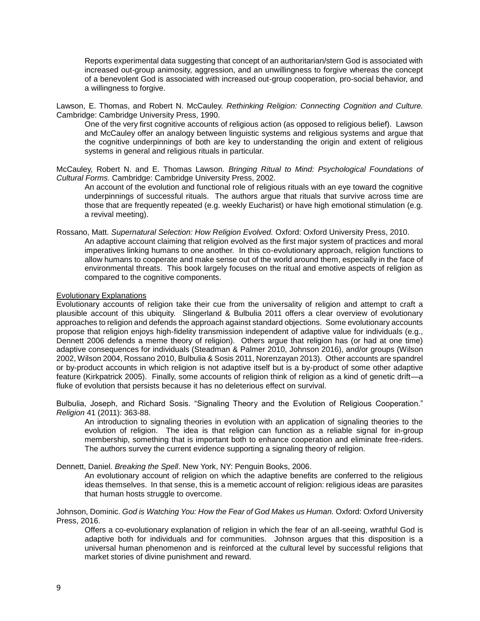Reports experimental data suggesting that concept of an authoritarian/stern God is associated with increased out-group animosity, aggression, and an unwillingness to forgive whereas the concept of a benevolent God is associated with increased out-group cooperation, pro-social behavior, and a willingness to forgive.

Lawson, E. Thomas, and Robert N. McCauley. *Rethinking Religion: Connecting Cognition and Culture.* Cambridge: Cambridge University Press, 1990.

One of the very first cognitive accounts of religious action (as opposed to religious belief). Lawson and McCauley offer an analogy between linguistic systems and religious systems and argue that the cognitive underpinnings of both are key to understanding the origin and extent of religious systems in general and religious rituals in particular.

McCauley, Robert N. and E. Thomas Lawson. *Bringing Ritual to Mind: Psychological Foundations of Cultural Forms.* Cambridge: Cambridge University Press, 2002.

An account of the evolution and functional role of religious rituals with an eye toward the cognitive underpinnings of successful rituals. The authors argue that rituals that survive across time are those that are frequently repeated (e.g. weekly Eucharist) or have high emotional stimulation (e.g. a revival meeting).

Rossano, Matt. *Supernatural Selection: How Religion Evolved.* Oxford: Oxford University Press, 2010. An adaptive account claiming that religion evolved as the first major system of practices and moral

imperatives linking humans to one another. In this co-evolutionary approach, religion functions to allow humans to cooperate and make sense out of the world around them, especially in the face of environmental threats. This book largely focuses on the ritual and emotive aspects of religion as compared to the cognitive components.

# Evolutionary Explanations

Evolutionary accounts of religion take their cue from the universality of religion and attempt to craft a plausible account of this ubiquity. Slingerland & Bulbulia 2011 offers a clear overview of evolutionary approaches to religion and defends the approach against standard objections. Some evolutionary accounts propose that religion enjoys high-fidelity transmission independent of adaptive value for individuals (e.g., Dennett 2006 defends a meme theory of religion). Others argue that religion has (or had at one time) adaptive consequences for individuals (Steadman & Palmer 2010, Johnson 2016), and/or groups (Wilson 2002, Wilson 2004, Rossano 2010, Bulbulia & Sosis 2011, Norenzayan 2013). Other accounts are spandrel or by-product accounts in which religion is not adaptive itself but is a by-product of some other adaptive feature (Kirkpatrick 2005). Finally, some accounts of religion think of religion as a kind of genetic drift—a fluke of evolution that persists because it has no deleterious effect on survival.

Bulbulia, Joseph, and Richard Sosis. "Signaling Theory and the Evolution of Religious Cooperation." *Religion* 41 (2011): 363-88.

An introduction to signaling theories in evolution with an application of signaling theories to the evolution of religion. The idea is that religion can function as a reliable signal for in-group membership, something that is important both to enhance cooperation and eliminate free-riders. The authors survey the current evidence supporting a signaling theory of religion.

Dennett, Daniel. *Breaking the Spell*. New York, NY: Penguin Books, 2006.

An evolutionary account of religion on which the adaptive benefits are conferred to the religious ideas themselves. In that sense, this is a memetic account of religion: religious ideas are parasites that human hosts struggle to overcome.

Johnson, Dominic. *God is Watching You: How the Fear of God Makes us Human.* Oxford: Oxford University Press, 2016.

Offers a co-evolutionary explanation of religion in which the fear of an all-seeing, wrathful God is adaptive both for individuals and for communities. Johnson argues that this disposition is a universal human phenomenon and is reinforced at the cultural level by successful religions that market stories of divine punishment and reward.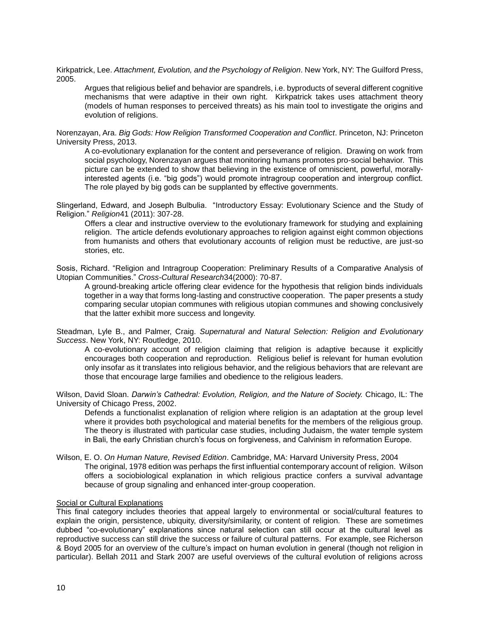Kirkpatrick, Lee. *Attachment, Evolution, and the Psychology of Religion*. New York, NY: The Guilford Press, 2005.

Argues that religious belief and behavior are spandrels, i.e. byproducts of several different cognitive mechanisms that were adaptive in their own right. Kirkpatrick takes uses attachment theory (models of human responses to perceived threats) as his main tool to investigate the origins and evolution of religions.

Norenzayan, Ara. *Big Gods: How Religion Transformed Cooperation and Conflict*. Princeton, NJ: Princeton University Press, 2013.

A co-evolutionary explanation for the content and perseverance of religion. Drawing on work from social psychology, Norenzayan argues that monitoring humans promotes pro-social behavior. This picture can be extended to show that believing in the existence of omniscient, powerful, morallyinterested agents (i.e. "big gods") would promote intragroup cooperation and intergroup conflict. The role played by big gods can be supplanted by effective governments.

Slingerland, Edward, and Joseph Bulbulia. "Introductory Essay: Evolutionary Science and the Study of Religion." *Religion*41 (2011): 307-28.

Offers a clear and instructive overview to the evolutionary framework for studying and explaining religion. The article defends evolutionary approaches to religion against eight common objections from humanists and others that evolutionary accounts of religion must be reductive, are just-so stories, etc.

Sosis, Richard. "Religion and Intragroup Cooperation: Preliminary Results of a Comparative Analysis of Utopian Communities." *Cross-Cultural Research*34(2000): 70-87.

A ground-breaking article offering clear evidence for the hypothesis that religion binds individuals together in a way that forms long-lasting and constructive cooperation. The paper presents a study comparing secular utopian communes with religious utopian communes and showing conclusively that the latter exhibit more success and longevity.

Steadman, Lyle B., and Palmer, Craig. *Supernatural and Natural Selection: Religion and Evolutionary Success*. New York, NY: Routledge, 2010.

A co-evolutionary account of religion claiming that religion is adaptive because it explicitly encourages both cooperation and reproduction. Religious belief is relevant for human evolution only insofar as it translates into religious behavior, and the religious behaviors that are relevant are those that encourage large families and obedience to the religious leaders.

Wilson, David Sloan. *Darwin's Cathedral: Evolution, Religion, and the Nature of Society.* Chicago, IL: The University of Chicago Press, 2002.

Defends a functionalist explanation of religion where religion is an adaptation at the group level where it provides both psychological and material benefits for the members of the religious group. The theory is illustrated with particular case studies, including Judaism, the water temple system in Bali, the early Christian church's focus on forgiveness, and Calvinism in reformation Europe.

Wilson, E. O. *On Human Nature, Revised Edition*. Cambridge, MA: Harvard University Press, 2004 The original, 1978 edition was perhaps the first influential contemporary account of religion. Wilson offers a sociobiological explanation in which religious practice confers a survival advantage because of group signaling and enhanced inter-group cooperation.

# Social or Cultural Explanations

This final category includes theories that appeal largely to environmental or social/cultural features to explain the origin, persistence, ubiquity, diversity/similarity, or content of religion. These are sometimes dubbed "co-evolutionary" explanations since natural selection can still occur at the cultural level as reproductive success can still drive the success or failure of cultural patterns. For example, see Richerson & Boyd 2005 for an overview of the culture's impact on human evolution in general (though not religion in particular). Bellah 2011 and Stark 2007 are useful overviews of the cultural evolution of religions across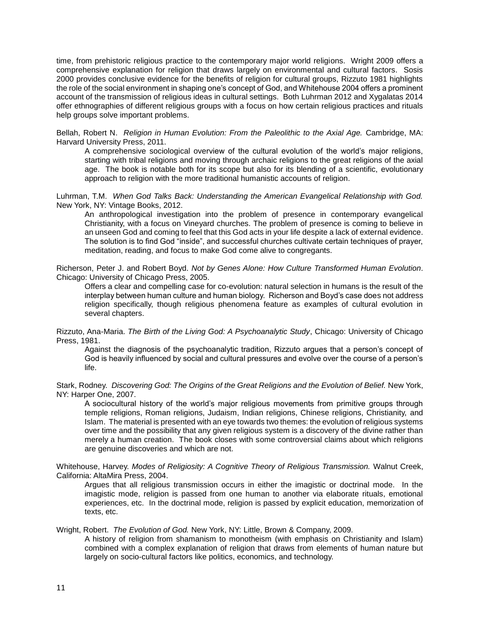time, from prehistoric religious practice to the contemporary major world religions. Wright 2009 offers a comprehensive explanation for religion that draws largely on environmental and cultural factors. Sosis 2000 provides conclusive evidence for the benefits of religion for cultural groups, Rizzuto 1981 highlights the role of the social environment in shaping one's concept of God, and Whitehouse 2004 offers a prominent account of the transmission of religious ideas in cultural settings. Both Luhrman 2012 and Xygalatas 2014 offer ethnographies of different religious groups with a focus on how certain religious practices and rituals help groups solve important problems.

Bellah, Robert N. *Religion in Human Evolution: From the Paleolithic to the Axial Age.* Cambridge, MA: Harvard University Press, 2011.

A comprehensive sociological overview of the cultural evolution of the world's major religions, starting with tribal religions and moving through archaic religions to the great religions of the axial age. The book is notable both for its scope but also for its blending of a scientific, evolutionary approach to religion with the more traditional humanistic accounts of religion.

Luhrman, T.M. *When God Talks Back: Understanding the American Evangelical Relationship with God.* New York, NY: Vintage Books, 2012.

An anthropological investigation into the problem of presence in contemporary evangelical Christianity, with a focus on Vineyard churches. The problem of presence is coming to believe in an unseen God and coming to feel that this God acts in your life despite a lack of external evidence. The solution is to find God "inside", and successful churches cultivate certain techniques of prayer, meditation, reading, and focus to make God come alive to congregants.

Richerson, Peter J. and Robert Boyd. *Not by Genes Alone: How Culture Transformed Human Evolution*. Chicago: University of Chicago Press, 2005.

Offers a clear and compelling case for co-evolution: natural selection in humans is the result of the interplay between human culture and human biology. Richerson and Boyd's case does not address religion specifically, though religious phenomena feature as examples of cultural evolution in several chapters.

Rizzuto, Ana-Maria. *The Birth of the Living God: A Psychoanalytic Study*, Chicago: University of Chicago Press, 1981.

Against the diagnosis of the psychoanalytic tradition, Rizzuto argues that a person's concept of God is heavily influenced by social and cultural pressures and evolve over the course of a person's life.

Stark, Rodney. *Discovering God: The Origins of the Great Religions and the Evolution of Belief.* New York, NY: Harper One, 2007.

A sociocultural history of the world's major religious movements from primitive groups through temple religions, Roman religions, Judaism, Indian religions, Chinese religions, Christianity, and Islam. The material is presented with an eye towards two themes: the evolution of religious systems over time and the possibility that any given religious system is a discovery of the divine rather than merely a human creation. The book closes with some controversial claims about which religions are genuine discoveries and which are not.

Whitehouse, Harvey. *Modes of Religiosity: A Cognitive Theory of Religious Transmission.* Walnut Creek, California: AltaMira Press, 2004.

Argues that all religious transmission occurs in either the imagistic or doctrinal mode. In the imagistic mode, religion is passed from one human to another via elaborate rituals, emotional experiences, etc. In the doctrinal mode, religion is passed by explicit education, memorization of texts, etc.

Wright, Robert. *The Evolution of God.* New York, NY: Little, Brown & Company, 2009.

A history of religion from shamanism to monotheism (with emphasis on Christianity and Islam) combined with a complex explanation of religion that draws from elements of human nature but largely on socio-cultural factors like politics, economics, and technology.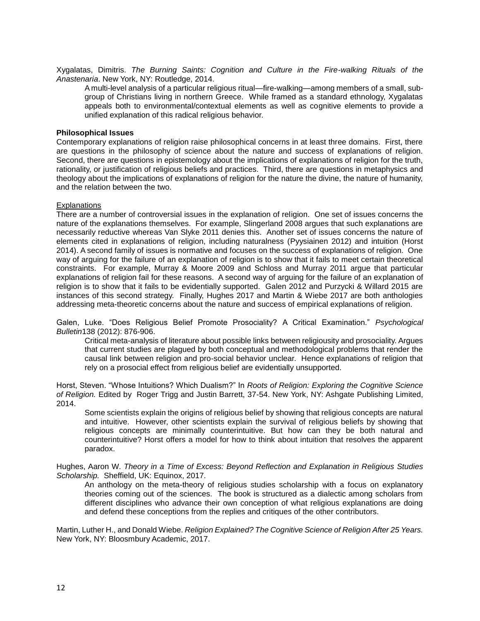Xygalatas, Dimitris. *The Burning Saints: Cognition and Culture in the Fire-walking Rituals of the Anastenaria*. New York, NY: Routledge, 2014.

A multi-level analysis of a particular religious ritual—fire-walking—among members of a small, subgroup of Christians living in northern Greece. While framed as a standard ethnology, Xygalatas appeals both to environmental/contextual elements as well as cognitive elements to provide a unified explanation of this radical religious behavior.

#### **Philosophical Issues**

Contemporary explanations of religion raise philosophical concerns in at least three domains. First, there are questions in the philosophy of science about the nature and success of explanations of religion. Second, there are questions in epistemology about the implications of explanations of religion for the truth, rationality, or justification of religious beliefs and practices. Third, there are questions in metaphysics and theology about the implications of explanations of religion for the nature the divine, the nature of humanity, and the relation between the two.

#### **Explanations**

There are a number of controversial issues in the explanation of religion. One set of issues concerns the nature of the explanations themselves. For example, Slingerland 2008 argues that such explanations are necessarily reductive whereas Van Slyke 2011 denies this. Another set of issues concerns the nature of elements cited in explanations of religion, including naturalness (Pyysiainen 2012) and intuition (Horst 2014). A second family of issues is normative and focuses on the success of explanations of religion. One way of arguing for the failure of an explanation of religion is to show that it fails to meet certain theoretical constraints. For example, Murray & Moore 2009 and Schloss and Murray 2011 argue that particular explanations of religion fail for these reasons. A second way of arguing for the failure of an explanation of religion is to show that it fails to be evidentially supported. Galen 2012 and Purzycki & Willard 2015 are instances of this second strategy. Finally, Hughes 2017 and Martin & Wiebe 2017 are both anthologies addressing meta-theoretic concerns about the nature and success of empirical explanations of religion.

Galen, Luke. "Does Religious Belief Promote Prosociality? A Critical Examination." *Psychological Bulletin*138 (2012): 876-906.

Critical meta-analysis of literature about possible links between religiousity and prosociality. Argues that current studies are plagued by both conceptual and methodological problems that render the causal link between religion and pro-social behavior unclear. Hence explanations of religion that rely on a prosocial effect from religious belief are evidentially unsupported.

Horst, Steven. "Whose Intuitions? Which Dualism?" In *Roots of Religion: Exploring the Cognitive Science of Religion.* Edited by Roger Trigg and Justin Barrett, 37-54. New York, NY: Ashgate Publishing Limited, 2014.

Some scientists explain the origins of religious belief by showing that religious concepts are natural and intuitive. However, other scientists explain the survival of religious beliefs by showing that religious concepts are minimally counterintuitive. But how can they be both natural and counterintuitive? Horst offers a model for how to think about intuition that resolves the apparent paradox.

Hughes, Aaron W. *Theory in a Time of Excess: Beyond Reflection and Explanation in Religious Studies Scholarship.* Sheffield, UK: Equinox, 2017.

An anthology on the meta-theory of religious studies scholarship with a focus on explanatory theories coming out of the sciences. The book is structured as a dialectic among scholars from different disciplines who advance their own conception of what religious explanations are doing and defend these conceptions from the replies and critiques of the other contributors.

Martin, Luther H., and Donald Wiebe. *Religion Explained? The Cognitive Science of Religion After 25 Years.* New York, NY: Bloosmbury Academic, 2017.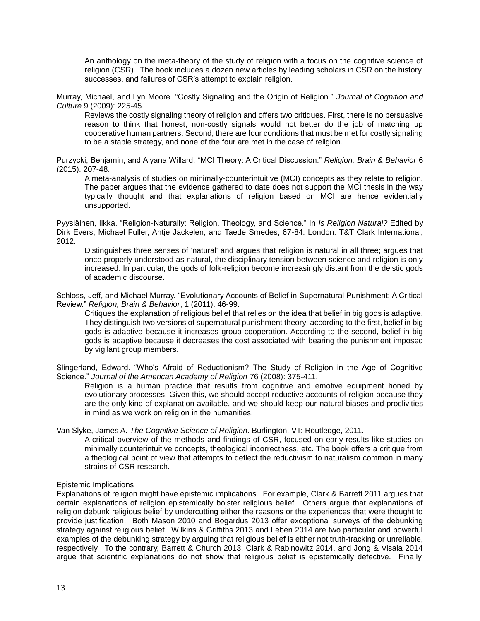An anthology on the meta-theory of the study of religion with a focus on the cognitive science of religion (CSR). The book includes a dozen new articles by leading scholars in CSR on the history, successes, and failures of CSR's attempt to explain religion.

Murray, Michael, and Lyn Moore. "Costly Signaling and the Origin of Religion." *Journal of Cognition and Culture* 9 (2009): 225-45.

Reviews the costly signaling theory of religion and offers two critiques. First, there is no persuasive reason to think that honest, non-costly signals would not better do the job of matching up cooperative human partners. Second, there are four conditions that must be met for costly signaling to be a stable strategy, and none of the four are met in the case of religion.

Purzycki, Benjamin, and Aiyana Willard. "MCI Theory: A Critical Discussion." *Religion, Brain & Behavior* 6 (2015): 207-48.

A meta-analysis of studies on minimally-counterintuitive (MCI) concepts as they relate to religion. The paper argues that the evidence gathered to date does not support the MCI thesis in the way typically thought and that explanations of religion based on MCI are hence evidentially unsupported.

Pyysiäinen, Ilkka. "Religion-Naturally: Religion, Theology, and Science." In *Is Religion Natural?* Edited by Dirk Evers, Michael Fuller, Antje Jackelen, and Taede Smedes, 67-84. London: T&T Clark International, 2012.

Distinguishes three senses of 'natural' and argues that religion is natural in all three; argues that once properly understood as natural, the disciplinary tension between science and religion is only increased. In particular, the gods of folk-religion become increasingly distant from the deistic gods of academic discourse.

Schloss, Jeff, and Michael Murray. "Evolutionary Accounts of Belief in Supernatural Punishment: A Critical Review." *Religion, Brain & Behavior*, 1 (2011): 46-99.

Critiques the explanation of religious belief that relies on the idea that belief in big gods is adaptive. They distinguish two versions of supernatural punishment theory: according to the first, belief in big gods is adaptive because it increases group cooperation. According to the second, belief in big gods is adaptive because it decreases the cost associated with bearing the punishment imposed by vigilant group members.

Slingerland, Edward. "Who's Afraid of Reductionism? The Study of Religion in the Age of Cognitive Science." *Journal of the American Academy of Religion* 76 (2008): 375-411.

Religion is a human practice that results from cognitive and emotive equipment honed by evolutionary processes. Given this, we should accept reductive accounts of religion because they are the only kind of explanation available, and we should keep our natural biases and proclivities in mind as we work on religion in the humanities.

#### Van Slyke, James A. *The Cognitive Science of Religion*. Burlington, VT: Routledge, 2011.

A critical overview of the methods and findings of CSR, focused on early results like studies on minimally counterintuitive concepts, theological incorrectness, etc. The book offers a critique from a theological point of view that attempts to deflect the reductivism to naturalism common in many strains of CSR research.

#### Epistemic Implications

Explanations of religion might have epistemic implications. For example, Clark & Barrett 2011 argues that certain explanations of religion epistemically bolster religious belief. Others argue that explanations of religion debunk religious belief by undercutting either the reasons or the experiences that were thought to provide justification. Both Mason 2010 and Bogardus 2013 offer exceptional surveys of the debunking strategy against religious belief. Wilkins & Griffiths 2013 and Leben 2014 are two particular and powerful examples of the debunking strategy by arguing that religious belief is either not truth-tracking or unreliable, respectively. To the contrary, Barrett & Church 2013, Clark & Rabinowitz 2014, and Jong & Visala 2014 argue that scientific explanations do not show that religious belief is epistemically defective. Finally,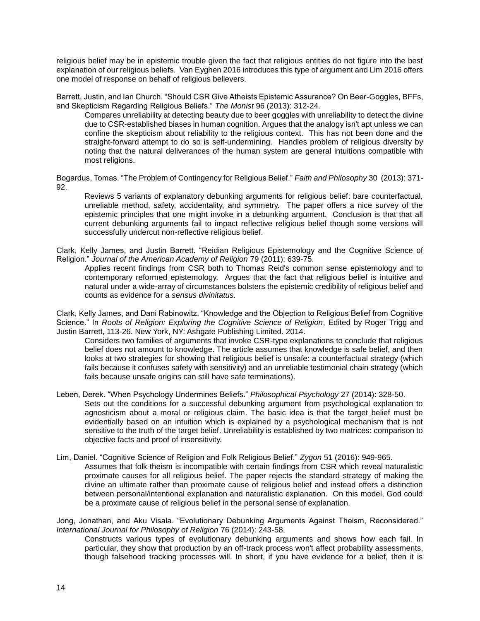religious belief may be in epistemic trouble given the fact that religious entities do not figure into the best explanation of our religious beliefs. Van Eyghen 2016 introduces this type of argument and Lim 2016 offers one model of response on behalf of religious believers.

Barrett, Justin, and Ian Church. "Should CSR Give Atheists Epistemic Assurance? On Beer-Goggles, BFFs, and Skepticism Regarding Religious Beliefs." *The Monist* 96 (2013): 312-24.

Compares unreliability at detecting beauty due to beer goggles with unreliability to detect the divine due to CSR-established biases in human cognition. Argues that the analogy isn't apt unless we can confine the skepticism about reliability to the religious context. This has not been done and the straight-forward attempt to do so is self-undermining. Handles problem of religious diversity by noting that the natural deliverances of the human system are general intuitions compatible with most religions.

Bogardus, Tomas. "The Problem of Contingency for Religious Belief." *Faith and Philosophy* 30 (2013): 371- 92.

Reviews 5 variants of explanatory debunking arguments for religious belief: bare counterfactual, unreliable method, safety, accidentality, and symmetry. The paper offers a nice survey of the epistemic principles that one might invoke in a debunking argument. Conclusion is that that all current debunking arguments fail to impact reflective religious belief though some versions will successfully undercut non-reflective religious belief.

Clark, Kelly James, and Justin Barrett. "Reidian Religious Epistemology and the Cognitive Science of Religion." *Journal of the American Academy of Religion* 79 (2011): 639-75.

Applies recent findings from CSR both to Thomas Reid's common sense epistemology and to contemporary reformed epistemology. Argues that the fact that religious belief is intuitive and natural under a wide-array of circumstances bolsters the epistemic credibility of religious belief and counts as evidence for a *sensus divinitatus*.

Clark, Kelly James, and Dani Rabinowitz. "Knowledge and the Objection to Religious Belief from Cognitive Science." In *Roots of Religion: Exploring the Cognitive Science of Religion*, Edited by Roger Trigg and Justin Barrett, 113-26. New York, NY: Ashgate Publishing Limited. 2014.

Considers two families of arguments that invoke CSR-type explanations to conclude that religious belief does not amount to knowledge. The article assumes that knowledge is safe belief, and then looks at two strategies for showing that religious belief is unsafe: a counterfactual strategy (which fails because it confuses safety with sensitivity) and an unreliable testimonial chain strategy (which fails because unsafe origins can still have safe terminations).

Leben, Derek. "When Psychology Undermines Beliefs." *Philosophical Psychology* 27 (2014): 328-50. Sets out the conditions for a successful debunking argument from psychological explanation to agnosticism about a moral or religious claim. The basic idea is that the target belief must be evidentially based on an intuition which is explained by a psychological mechanism that is not sensitive to the truth of the target belief. Unreliability is established by two matrices: comparison to objective facts and proof of insensitivity.

Lim, Daniel. "Cognitive Science of Religion and Folk Religious Belief." *Zygon* 51 (2016): 949-965. Assumes that folk theism is incompatible with certain findings from CSR which reveal naturalistic proximate causes for all religious belief. The paper rejects the standard strategy of making the divine an ultimate rather than proximate cause of religious belief and instead offers a distinction between personal/intentional explanation and naturalistic explanation. On this model, God could be a proximate cause of religious belief in the personal sense of explanation.

Jong, Jonathan, and Aku Visala. "Evolutionary Debunking Arguments Against Theism, Reconsidered." *International Journal for Philosophy of Religion* 76 (2014): 243-58.

Constructs various types of evolutionary debunking arguments and shows how each fail. In particular, they show that production by an off-track process won't affect probability assessments, though falsehood tracking processes will. In short, if you have evidence for a belief, then it is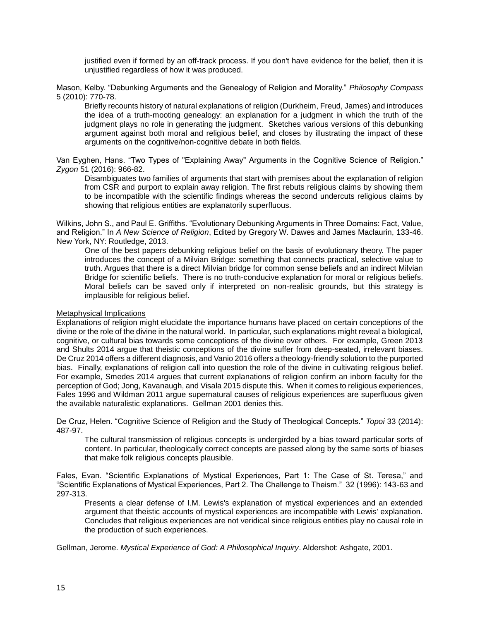justified even if formed by an off-track process. If you don't have evidence for the belief, then it is unjustified regardless of how it was produced.

Mason, Kelby. "Debunking Arguments and the Genealogy of Religion and Morality." *Philosophy Compass* 5 (2010): 770-78.

Briefly recounts history of natural explanations of religion (Durkheim, Freud, James) and introduces the idea of a truth-mooting genealogy: an explanation for a judgment in which the truth of the judgment plays no role in generating the judgment. Sketches various versions of this debunking argument against both moral and religious belief, and closes by illustrating the impact of these arguments on the cognitive/non-cognitive debate in both fields.

Van Eyghen, Hans. "Two Types of "Explaining Away" Arguments in the Cognitive Science of Religion." *Zygon* 51 (2016): 966-82.

Disambiguates two families of arguments that start with premises about the explanation of religion from CSR and purport to explain away religion. The first rebuts religious claims by showing them to be incompatible with the scientific findings whereas the second undercuts religious claims by showing that religious entities are explanatorily superfluous.

Wilkins, John S., and Paul E. Griffiths. "Evolutionary Debunking Arguments in Three Domains: Fact, Value, and Religion." In *A New Science of Religion*, Edited by Gregory W. Dawes and James Maclaurin, 133-46. New York, NY: Routledge, 2013.

One of the best papers debunking religious belief on the basis of evolutionary theory. The paper introduces the concept of a Milvian Bridge: something that connects practical, selective value to truth. Argues that there is a direct Milvian bridge for common sense beliefs and an indirect Milvian Bridge for scientific beliefs. There is no truth-conducive explanation for moral or religious beliefs. Moral beliefs can be saved only if interpreted on non-realisic grounds, but this strategy is implausible for religious belief.

# Metaphysical Implications

Explanations of religion might elucidate the importance humans have placed on certain conceptions of the divine or the role of the divine in the natural world. In particular, such explanations might reveal a biological, cognitive, or cultural bias towards some conceptions of the divine over others. For example, Green 2013 and Shults 2014 argue that theistic conceptions of the divine suffer from deep-seated, irrelevant biases. De Cruz 2014 offers a different diagnosis, and Vanio 2016 offers a theology-friendly solution to the purported bias. Finally, explanations of religion call into question the role of the divine in cultivating religious belief. For example, Smedes 2014 argues that current explanations of religion confirm an inborn faculty for the perception of God; Jong, Kavanaugh, and Visala 2015 dispute this. When it comes to religious experiences, Fales 1996 and Wildman 2011 argue supernatural causes of religious experiences are superfluous given the available naturalistic explanations. Gellman 2001 denies this.

De Cruz, Helen. "Cognitive Science of Religion and the Study of Theological Concepts." *Topoi* 33 (2014): 487-97.

The cultural transmission of religious concepts is undergirded by a bias toward particular sorts of content. In particular, theologically correct concepts are passed along by the same sorts of biases that make folk religious concepts plausible.

Fales, Evan. "Scientific Explanations of Mystical Experiences, Part 1: The Case of St. Teresa," and "Scientific Explanations of Mystical Experiences, Part 2. The Challenge to Theism." 32 (1996): 143-63 and 297-313.

Presents a clear defense of I.M. Lewis's explanation of mystical experiences and an extended argument that theistic accounts of mystical experiences are incompatible with Lewis' explanation. Concludes that religious experiences are not veridical since religious entities play no causal role in the production of such experiences.

Gellman, Jerome. *Mystical Experience of God: A Philosophical Inquiry*. Aldershot: Ashgate, 2001.